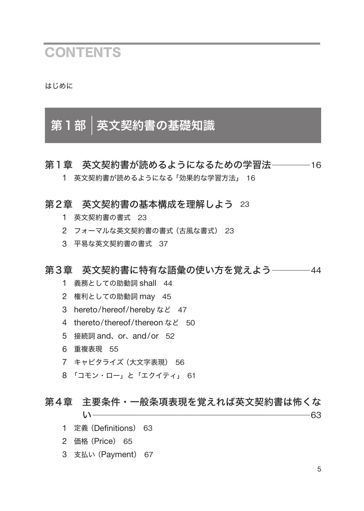## **CONTENTS**

はじめに

# 第1部 英文契約書の基礎知識

### 第1章 英文契約書が読めるようになるための学習法 - 16

英文契約書が読めるようになる「効果的な学習方法」 16

#### 第2章 英文契約書の基本構成を理解しよう 23

- 英文契約書の書式 23
- フォーマルな英文契約書の書式(古風な書式) 23
- 平易な英文契約書の書式 37

### 第3章 英文契約書に特有な語彙の使い方を覚えよう ––––––44

- 義務としての助動詞 shall 44
- 権利としての助動詞 may 45
- hereto/hereof/hereby など 47
- thereto/thereof/thereon など 50
- 接続詞 and、or、and/or 52
- 重複表現 55
- キャピタライズ(大文字表現) 56
- 「コモン・ロー」と「エクイティ」 61

## 第4章 主要条件・一般条項表現を覚えれば英文契約書は怖くな

い 63

- 定義(Definitions) 63
- 価格(Price) 65
- 支払い(Payment) 67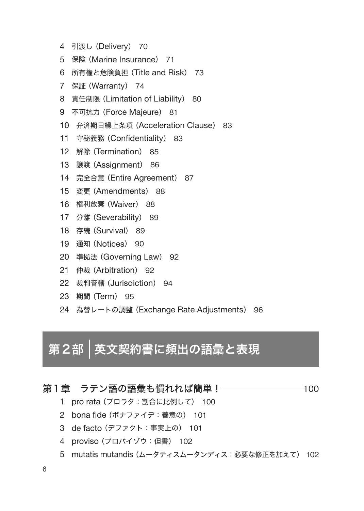- 引渡し(Delivery) 70
- 保険(Marine Insurance) 71
- 所有権と危険負担(Title and Risk) 73
- 保証(Warranty) 74
- 責任制限(Limitation of Liability) 80
- 不可抗力(Force Majeure) 81
- 弁済期日繰上条項(Acceleration Clause) 83
- 守秘義務(Confidentiality) 83
- 解除(Termination) 85
- 譲渡(Assignment) 86
- 完全合意(Entire Agreement) 87
- 変更(Amendments) 88
- 権利放棄(Waiver) 88
- 分離(Severability) 89
- 存続(Survival) 89
- 通知(Notices) 90
- 準拠法(Governing Law) 92
- 仲裁(Arbitration) 92
- 裁判管轄(Jurisdiction) 94
- 期間(Term) 95
- 為替レートの調整(Exchange Rate Adjustments) 96

# 第2部 英文契約書に頻出の語彙と表現

#### 第1章 ラテン語の語彙も慣れれば簡単! - 2000 - 100

- pro rata (プロラタ:割合に比例して) 100
- bona fide (ボナファイデ:善意の) 101
- de facto (デファクト:事実上の) 101
- proviso (プロバイゾウ:但書) 102
- 5 mutatis mutandis (ムータティスムータンディス:必要な修正を加えて) 102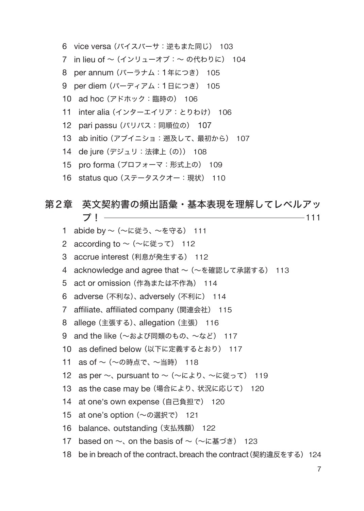- vice versa (バイスバーサ:逆もまた同じ) 103
- 7 in lieu of ~(インリューオブ:~ の代わりに) 104
- per annum (パーラナム:1年につき) 105
- per diem (パーディアム:1日につき) 105
- ad hoc (アドホック:臨時の) 106
- inter alia (インターエイリア:とりわけ) 106
- pari passu (パリパス:同順位の) 107
- ab initio (アブイニショ:遡及して、最初から) 107
- de jure (デジュリ:法律上(の)) 108
- pro forma (プロフォーマ:形式上の) 109
- status quo (ステータスクオー:現状) 110

#### 第2章 英文契約書の頻出語彙・基本表現を理解してレベルアッ プ! 111

 abide by ~(~に従う、~を守る) 111 2 according to ~ (~に従って) 112 accrue interest (利息が発生する) 112 4 acknowledge and agree that ~ (~を確認して承諾する) 113 5 act or omission (作為または不作為) 114 adverse (不利な)、 adversely (不利に) 114 affiliate、 affiliated company (関連会社) 115 allege (主張する)、 allegation (主張) 116 9 and the like (~および同類のもの、~など) 117 10 as defined below (以下に定義するとおり) 117 as of ~(~の時点で、~当時) 118 12 as per  $\sim$ , pursuant to  $\sim$  ( $\sim$ により、 $\sim$ に従って) 119 13 as the case may be (場合により、状況に応じて) 120 at one's own expense (自己負担で) 120 at one's option (~の選択で) 121 balance、 outstanding (支払残額) 122 17 based on  $\sim$ , on the basis of  $\sim$  ( $\sim$ に基づき) 123 18 be in breach of the contract、breach the contract(契約違反をする) 124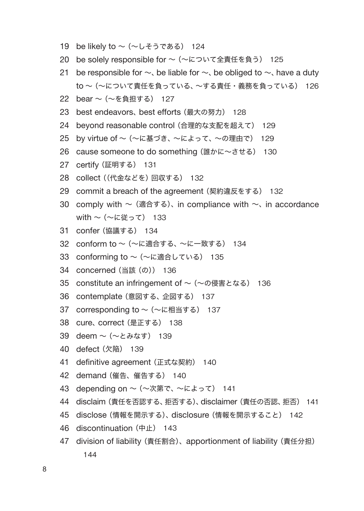- 19 be likely to  $\sim$  ( $\sim$ しそうである) 124
- 20 be solely responsible for ~ (~について全責任を負う) 125
- 21 be responsible for  $\sim$ , be liable for  $\sim$ , be obliged to  $\sim$ , have a duty to ~(~について責任を負っている、~する責任・義務を負っている) 126
- 22 bear ~(~を負担する) 127
- 23 best endeavors、 best efforts (最大の努力) 128
- 24 beyond reasonable control (合理的な支配を超えて) 129
- 25 by virtue of ~(~に基づき、~によって、~の理由で) 129
- 26 cause someone to do something (誰かに~させる) 130
- 27 certify (証明する) 131
- 28 collect ((代金などを)回収する) 132
- 29 commit a breach of the agreement (契約違反をする) 132
- 30 comply with  $\sim$  (適合する), in compliance with  $\sim$ , in accordance with ~ (~に従って) 133
- 31 confer (協議する) 134
- 32 conform to ~(~に適合する、~に一致する) 134
- 33 conforming to ~ (~に適合している) 135
- 34 concerned (当該(の)) 136
- 35 constitute an infringement of ~ (~の侵害となる) 136
- 36 contemplate (意図する、企図する) 137
- 37 corresponding to ~ (~に相当する) 137
- 38 cure、 correct (是正する) 138
- 39 deem ~(~とみなす) 139
- 40 defect (欠陥) 139
- 41 definitive agreement (正式な契約) 140
- 42 demand (催告、催告する) 140
- 43 depending on ~(~次第で、~によって) 141
- 44 disclaim (責任を否認する、拒否する)、 disclaimer (責任の否認、拒否) 141
- 45 disclose (情報を開示する)、 disclosure (情報を開示すること) 142
- 46 discontinuation (中止) 143
- 47 division of liability (責任割合)、apportionment of liability (責任分担) 144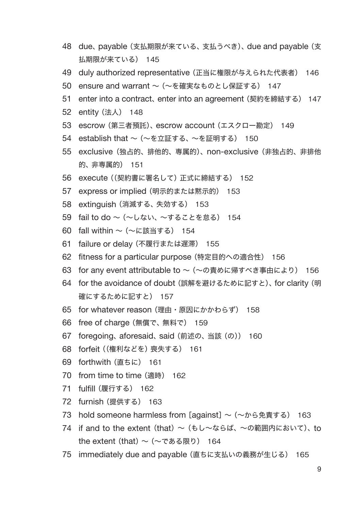- 48 due、 payable (支払期限が来ている、支払うべき)、 due and payable (支 払期限が来ている) 145
- 49 duly authorized representative (正当に権限が与えられた代表者) 146
- 50 ensure and warrant ~ (~を確実なものとし保証する) 147
- 51 enter into a contract、 enter into an agreement (契約を締結する) 147
- 52 entity (法人) 148
- 53 escrow (第三者預託)、 escrow account (エスクロー勘定) 149
- 54 establish that ~(~を立証する、~を証明する) 150
- 55 exclusive (独占的、排他的、専属的)、 non-exclusive (非独占的、非排他 的、非専属的) 151
- 56 execute ((契約書に署名して)正式に締結する) 152
- 57 express or implied (明示的または黙示的) 153
- 58 extinguish (消滅する、失効する) 153
- 59 fail to do ~(~しない、~することを怠る) 154
- 60 fall within ~(~に該当する) 154
- 61 failure or delay (不履行または遅滞) 155
- 62 fitness for a particular purpose (特定目的への適合性) 156
- 63 for any event attributable to ~ (~の責めに帰すべき事由により) 156
- 64 for the avoidance of doubt (誤解を避けるために記すと)、 for clarity (明 確にするために記すと) 157
- 65 for whatever reason (理由・原因にかかわらず) 158
- 66 free of charge (無償で、無料で) 159
- 67 foregoing、 aforesaid、 said (前述の、当該(の)) 160
- 68 forfeit ((権利などを)喪失する) 161
- 69 forthwith (直ちに) 161
- 70 from time to time (適時) 162
- 71 fulfill (履行する) 162
- 72 furnish (提供する) 163
- 73 hold someone harmless from [against]  $\sim$  (~から免責する) 163
- 74 if and to the extent (that)  $\sim$  (もし~ならば、~の範囲内において)、to the extent (that)  $\sim$  ( $\sim$ である限り) 164
- 75 immediately due and payable (直ちに支払いの義務が生じる) 165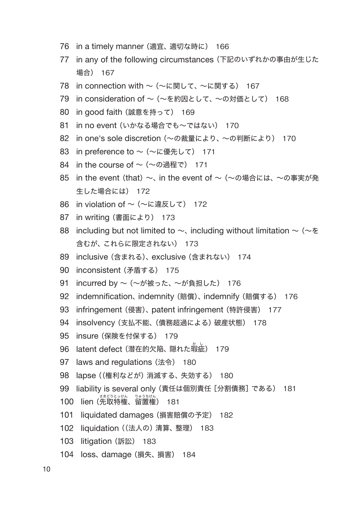- 76 in a timely manner (適宜、適切な時に) 166
- 77 in any of the following circumstances (下記のいずれかの事由が生じた 場合) 167
- 78 in connection with ~ (~に関して、~に関する) 167
- 79 in consideration of ~ (~を約因として、~の対価として) 168
- 80 in good faith (誠意を持って) 169
- 81 in no event (いかなる場合でも~ではない) 170
- 82 in one's sole discretion (~の裁量により、~の判断により) 170
- 83 in preference to ~ (~に優先して) 171
- 84 in the course of  $\sim$  ( $\sim$ の過程で) 171
- 85 in the event (that) ~、 in the event of ~ (~の場合には、 ~の事実が発 生した場合には) 172
- 86 in violation of ~ (~に違反して) 172
- 87 in writing (書面により) 173
- 88 including but not limited to  $\sim$ , including without limitation  $\sim$  ( $\sim$   $\&$ 含むが、これらに限定されない) 173
- 89 inclusive (含まれる)、 exclusive (含まれない) 174
- 90 inconsistent (矛盾する) 175
- 91 incurred by ~ (~が被った、~が負担した) 176
- 92 indemnification、 indemnity (賠償)、 indemnify (賠償する) 176
- 93 infringement (侵害)、 patent infringement (特許侵害) 177
- 94 insolvency (支払不能、(債務超過による)破産状態) 178
- 95 insure (保険を付保する) 179
- 96 latent defect (潜在的欠陥、隠れた瑕 か 疵 し ) 179
- 97 laws and regulations (法令) 180
- 98 lapse ((権利などが)消滅する、失効する) 180
- 99 liability is several only (責任は個別責任[分割債務]である) 181
- 100 lien(先取特権、留置権 ) 181
- 101 liquidated damages (損害賠償の予定) 182
- 102 liquidation ((法人の)清算、整理) 183
- 103 litigation (訴訟) 183
- 104 loss、 damage (損失、損害) 184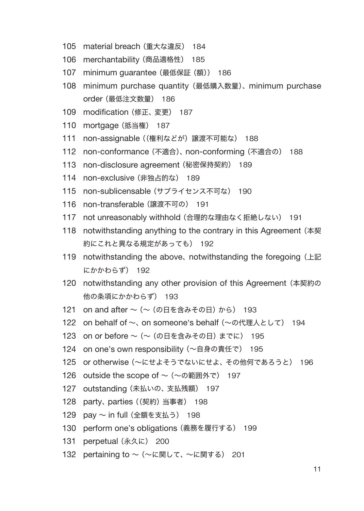- 105 material breach (重大な違反) 184
- 106 merchantability (商品適格性) 185
- 107 minimum guarantee (最低保証(額)) 186
- 108 minimum purchase quantity (最低購入数量)、 minimum purchase order (最低注文数量) 186
- 109 modification (修正、変更) 187
- 110 mortgage (抵当権) 187
- 111 non-assignable ((権利などが)譲渡不可能な) 188
- 112 non-conformance (不適合)、 non-conforming (不適合の) 188
- 113 non-disclosure agreement (秘密保持契約) 189
- 114 non-exclusive (非独占的な) 189
- 115 non-sublicensable (サブライセンス不可な) 190
- 116 non-transferable (譲渡不可の) 191
- 117 not unreasonably withhold (合理的な理由なく拒絶しない) 191
- 118 notwithstanding anything to the contrary in this Agreement (本契 約にこれと異なる規定があっても) 192
- 119 notwithstanding the above, notwithstanding the foregoing (上記) にかかわらず) 192
- 120 notwithstanding any other provision of this Agreement (本契約の 他の条項にかかわらず) 193
- 121 on and after ~ (~ (の日を含みその日)から) 193
- 122 on behalf of ~、 on someone's behalf (~の代理人として) 194
- 123 on or before ~ (~ (の日を含みその日)までに) 195
- 124 on one's own responsibility (~自身の責任で) 195
- 125 or otherwise (~にせよそうでないにせよ、その他何であろうと) 196
- 126 outside the scope of ~ (~の範囲外で) 197
- 127 outstanding (未払いの、支払残額) 197
- 128 party、 parties ((契約)当事者) 198
- 129 pay ~ in full (全額を支払う) 198
- 130 perform one's obligations (義務を履行する) 199
- 131 perpetual (永久に) 200
- 132 pertaining to ~ (~に関して、~に関する) 201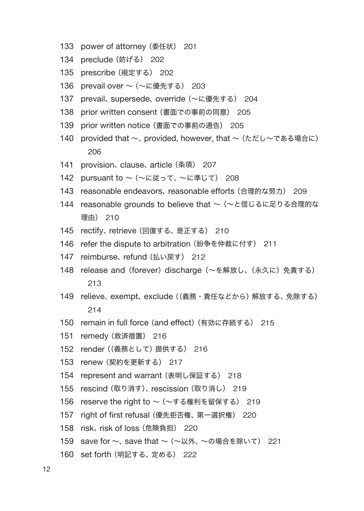- 133 power of attorney (委任状) 201
- 134 preclude (妨げる) 202
- 135 prescribe (規定する) 202
- 136 prevail over ~ (~に優先する) 203
- 137 prevail、 supersede、 override (~に優先する) 204
- 138 prior written consent (書面での事前の同意) 205
- 139 prior written notice (書面での事前の通告) 205
- 140 provided that ~、 provided, however, that ~ (ただし~である場合に) 206
- 141 provision、 clause、 article (条項) 207
- 142 pursuant to ~ (~に従って、~に準じて) 208
- 143 reasonable endeavors、 reasonable efforts (合理的な努力) 209
- 144 reasonable grounds to believe that ~ (~と信じるに足りる合理的な 理由) 210
- 145 rectify、 retrieve (回復する、是正する) 210
- 146 refer the dispute to arbitration (紛争を仲裁に付す) 211
- 147 reimburse、 refund (払い戻す) 212
- 148 release and (forever) discharge (~を解放し、(永久に)免責する) 213
- 149 relieve、 exempt、 exclude ((義務・責任などから)解放する、免除する) 214
- 150 remain in full force (and effect)(有効に存続する) 215
- 151 remedy (救済措置) 216
- 152 render ((義務として)提供する) 216
- 153 renew (契約を更新する) 217
- 154 represent and warrant (表明し保証する) 218
- 155 rescind (取り消す)、 rescission (取り消し) 219
- 156 reserve the right to ~(~する権利を留保する) 219
- 157 right of first refusal (優先拒否権、第一選択権) 220
- 158 risk、 risk of loss (危険負担) 220
- 159 save for ~、 save that ~ (~以外、~の場合を除いて) 221
- 160 set forth (明記する、定める) 222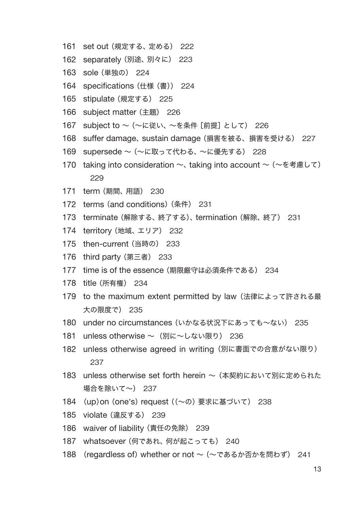- set out (規定する、定める) 222
- separately (別途、別々に) 223
- sole (単独の) 224
- 164 specifications (仕様 (書)) 224
- stipulate (規定する) 225
- subject matter (主題) 226
- subject to ~(~に従い、~を条件[前提]として) 226
- suffer damage、 sustain damage (損害を被る、損害を受ける) 227
- supersede ~(~に取って代わる、~に優先する) 228
- 170 taking into consideration ~、 taking into account ~ (~を考慮して)
- term (期間、用語) 230
- terms (and conditions)(条件) 231
- terminate (解除する、終了する)、 termination (解除、終了) 231
- territory (地域、エリア) 232
- then-current (当時の) 233
- third party (第三者) 233
- 177 time is of the essence (期限厳守は必須条件である) 234
- title (所有権) 234
- 179 to the maximum extent permitted by law (法律によって許される最 大の限度で) 235
- 180 under no circumstances (いかなる状況下にあっても~ない) 235
- 181 unless otherwise ~ (別に~しない限り) 236
- 182 unless otherwise agreed in writing (別に書面での合意がない限り)
- 183 unless otherwise set forth herein ~ (本契約において別に定められた 場合を除いて~) 237
- (up)on (one's) request ((~の)要求に基づいて) 238
- violate (違反する) 239
- 186 waiver of liability (責任の免除) 239
- whatsoever (何であれ、何が起こっても) 240
- (regardless of) whether or not ~(~であるか否かを問わず) 241